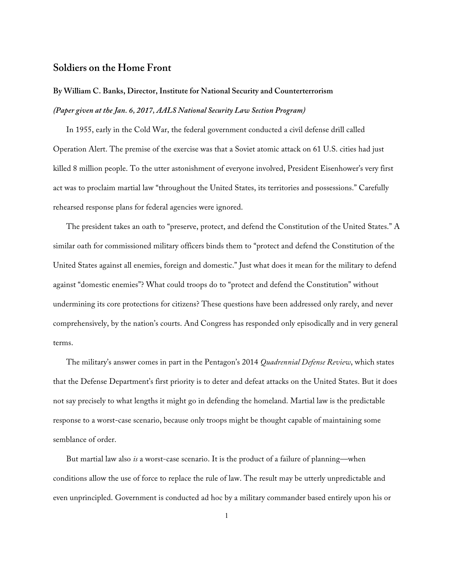## **Soldiers on the Home Front**

## **By William C. Banks, Director, Institute for National Security and Counterterrorism** *(Paper given at the Jan. 6, 2017, AALS National Security Law Section Program)*

In 1955, early in the Cold War, the federal government conducted a civil defense drill called Operation Alert. The premise of the exercise was that a Soviet atomic attack on 61 U.S. cities had just killed 8 million people. To the utter astonishment of everyone involved, President Eisenhower's very first act was to proclaim martial law "throughout the United States, its territories and possessions." Carefully rehearsed response plans for federal agencies were ignored.

The president takes an oath to "preserve, protect, and defend the Constitution of the United States." A similar oath for commissioned military officers binds them to "protect and defend the Constitution of the United States against all enemies, foreign and domestic." Just what does it mean for the military to defend against "domestic enemies"? What could troops do to "protect and defend the Constitution" without undermining its core protections for citizens? These questions have been addressed only rarely, and never comprehensively, by the nation's courts. And Congress has responded only episodically and in very general terms.

The military's answer comes in part in the Pentagon's 2014 *Quadrennial Defense Review*, which states that the Defense Department's first priority is to deter and defeat attacks on the United States. But it does not say precisely to what lengths it might go in defending the homeland. Martial law is the predictable response to a worst-case scenario, because only troops might be thought capable of maintaining some semblance of order.

But martial law also *is* a worst-case scenario. It is the product of a failure of planning—when conditions allow the use of force to replace the rule of law. The result may be utterly unpredictable and even unprincipled. Government is conducted ad hoc by a military commander based entirely upon his or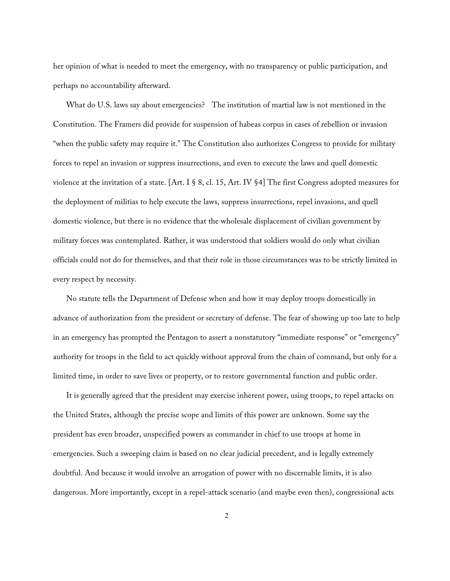her opinion of what is needed to meet the emergency, with no transparency or public participation, and perhaps no accountability afterward.

What do U.S. laws say about emergencies? The institution of martial law is not mentioned in the Constitution. The Framers did provide for suspension of habeas corpus in cases of rebellion or invasion "when the public safety may require it." The Constitution also authorizes Congress to provide for military forces to repel an invasion or suppress insurrections, and even to execute the laws and quell domestic violence at the invitation of a state. [Art. I § 8, cl. 15, Art. IV §4] The first Congress adopted measures for the deployment of militias to help execute the laws, suppress insurrections, repel invasions, and quell domestic violence, but there is no evidence that the wholesale displacement of civilian government by military forces was contemplated. Rather, it was understood that soldiers would do only what civilian officials could not do for themselves, and that their role in those circumstances was to be strictly limited in every respect by necessity.

No statute tells the Department of Defense when and how it may deploy troops domestically in advance of authorization from the president or secretary of defense. The fear of showing up too late to help in an emergency has prompted the Pentagon to assert a nonstatutory "immediate response" or "emergency" authority for troops in the field to act quickly without approval from the chain of command, but only for a limited time, in order to save lives or property, or to restore governmental function and public order.

It is generally agreed that the president may exercise inherent power, using troops, to repel attacks on the United States, although the precise scope and limits of this power are unknown. Some say the president has even broader, unspecified powers as commander in chief to use troops at home in emergencies. Such a sweeping claim is based on no clear judicial precedent, and is legally extremely doubtful. And because it would involve an arrogation of power with no discernable limits, it is also dangerous. More importantly, except in a repel-attack scenario (and maybe even then), congressional acts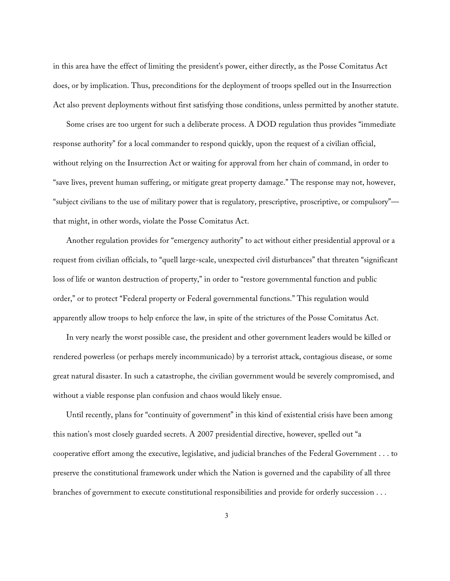in this area have the effect of limiting the president's power, either directly, as the Posse Comitatus Act does, or by implication. Thus, preconditions for the deployment of troops spelled out in the Insurrection Act also prevent deployments without first satisfying those conditions, unless permitted by another statute.

Some crises are too urgent for such a deliberate process. A DOD regulation thus provides "immediate response authority" for a local commander to respond quickly, upon the request of a civilian official, without relying on the Insurrection Act or waiting for approval from her chain of command, in order to "save lives, prevent human suffering, or mitigate great property damage." The response may not, however, "subject civilians to the use of military power that is regulatory, prescriptive, proscriptive, or compulsory" that might, in other words, violate the Posse Comitatus Act.

Another regulation provides for "emergency authority" to act without either presidential approval or a request from civilian officials, to "quell large-scale, unexpected civil disturbances" that threaten "significant loss of life or wanton destruction of property," in order to "restore governmental function and public order," or to protect "Federal property or Federal governmental functions." This regulation would apparently allow troops to help enforce the law, in spite of the strictures of the Posse Comitatus Act.

In very nearly the worst possible case, the president and other government leaders would be killed or rendered powerless (or perhaps merely incommunicado) by a terrorist attack, contagious disease, or some great natural disaster. In such a catastrophe, the civilian government would be severely compromised, and without a viable response plan confusion and chaos would likely ensue.

Until recently, plans for "continuity of government" in this kind of existential crisis have been among this nation's most closely guarded secrets. A 2007 presidential directive, however, spelled out "a cooperative effort among the executive, legislative, and judicial branches of the Federal Government . . . to preserve the constitutional framework under which the Nation is governed and the capability of all three branches of government to execute constitutional responsibilities and provide for orderly succession . . .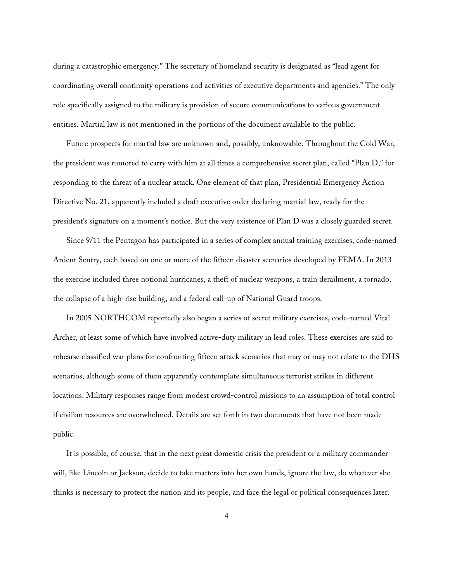during a catastrophic emergency." The secretary of homeland security is designated as "lead agent for coordinating overall continuity operations and activities of executive departments and agencies." The only role specifically assigned to the military is provision of secure communications to various government entities. Martial law is not mentioned in the portions of the document available to the public.

Future prospects for martial law are unknown and, possibly, unknowable. Throughout the Cold War, the president was rumored to carry with him at all times a comprehensive secret plan, called "Plan D," for responding to the threat of a nuclear attack. One element of that plan, Presidential Emergency Action Directive No. 21, apparently included a draft executive order declaring martial law, ready for the president's signature on a moment's notice. But the very existence of Plan D was a closely guarded secret.

Since 9/11 the Pentagon has participated in a series of complex annual training exercises, code-named Ardent Sentry, each based on one or more of the fifteen disaster scenarios developed by FEMA. In 2013 the exercise included three notional hurricanes, a theft of nuclear weapons, a train derailment, a tornado, the collapse of a high-rise building, and a federal call-up of National Guard troops.

In 2005 NORTHCOM reportedly also began a series of secret military exercises, code-named Vital Archer, at least some of which have involved active-duty military in lead roles. These exercises are said to rehearse classified war plans for confronting fifteen attack scenarios that may or may not relate to the DHS scenarios, although some of them apparently contemplate simultaneous terrorist strikes in different locations. Military responses range from modest crowd-control missions to an assumption of total control if civilian resources are overwhelmed. Details are set forth in two documents that have not been made public.

It is possible, of course, that in the next great domestic crisis the president or a military commander will, like Lincoln or Jackson, decide to take matters into her own hands, ignore the law, do whatever she thinks is necessary to protect the nation and its people, and face the legal or political consequences later.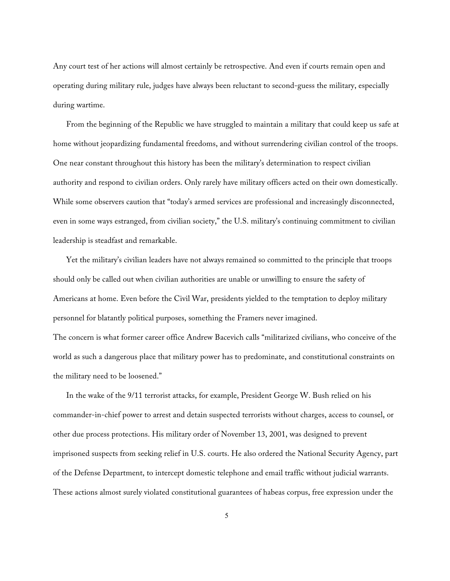Any court test of her actions will almost certainly be retrospective. And even if courts remain open and operating during military rule, judges have always been reluctant to second-guess the military, especially during wartime.

From the beginning of the Republic we have struggled to maintain a military that could keep us safe at home without jeopardizing fundamental freedoms, and without surrendering civilian control of the troops. One near constant throughout this history has been the military's determination to respect civilian authority and respond to civilian orders. Only rarely have military officers acted on their own domestically. While some observers caution that "today's armed services are professional and increasingly disconnected, even in some ways estranged, from civilian society," the U.S. military's continuing commitment to civilian leadership is steadfast and remarkable.

Yet the military's civilian leaders have not always remained so committed to the principle that troops should only be called out when civilian authorities are unable or unwilling to ensure the safety of Americans at home. Even before the Civil War, presidents yielded to the temptation to deploy military personnel for blatantly political purposes, something the Framers never imagined.

The concern is what former career office Andrew Bacevich calls "militarized civilians, who conceive of the world as such a dangerous place that military power has to predominate, and constitutional constraints on the military need to be loosened."

In the wake of the 9/11 terrorist attacks, for example, President George W. Bush relied on his commander-in-chief power to arrest and detain suspected terrorists without charges, access to counsel, or other due process protections. His military order of November 13, 2001, was designed to prevent imprisoned suspects from seeking relief in U.S. courts. He also ordered the National Security Agency, part of the Defense Department, to intercept domestic telephone and email traffic without judicial warrants. These actions almost surely violated constitutional guarantees of habeas corpus, free expression under the